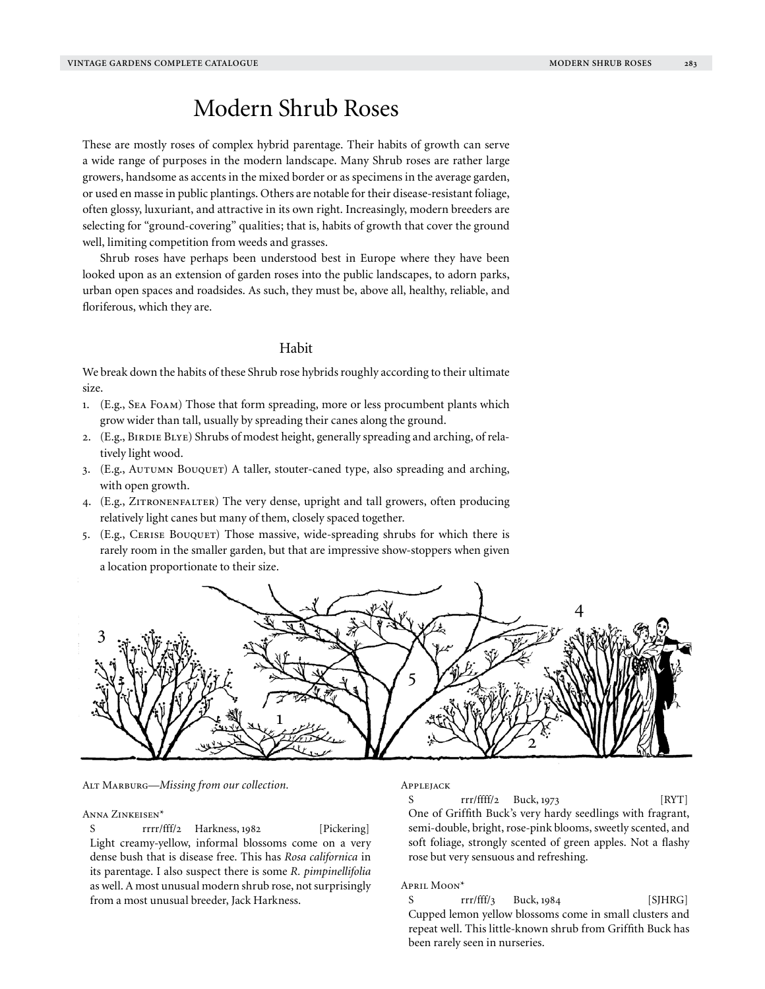# Modern Shrub Roses

These are mostly roses of complex hybrid parentage. Their habits of growth can serve a wide range of purposes in the modern landscape. Many Shrub roses are rather large growers, handsome as accents in the mixed border or as specimens in the average garden, or used en masse in public plantings. Others are notable for their disease-resistant foliage, often glossy, luxuriant, and attractive in its own right. Increasingly, modern breeders are selecting for "ground-covering" qualities; that is, habits of growth that cover the ground well, limiting competition from weeds and grasses.

Shrub roses have perhaps been understood best in Europe where they have been looked upon as an extension of garden roses into the public landscapes, to adorn parks, urban open spaces and roadsides. As such, they must be, above all, healthy, reliable, and floriferous, which they are.

# Habit

We break down the habits of these Shrub rose hybrids roughly according to their ultimate size.

- 1. (E.g., Sea Foam) Those that form spreading, more or less procumbent plants which grow wider than tall, usually by spreading their canes along the ground.
- 2. (E.g., BIRDIE BLYE) Shrubs of modest height, generally spreading and arching, of relatively light wood.
- 3. (E.g., AUTUMN BOUQUET) A taller, stouter-caned type, also spreading and arching, with open growth.
- 4. (E.g., Zitronenfalter) The very dense, upright and tall growers, often producing relatively light canes but many of them, closely spaced together.
- 5. (E.g., CERISE BOUQUET) Those massive, wide-spreading shrubs for which there is rarely room in the smaller garden, but that are impressive show-stoppers when given a location proportionate to their size.



Alt Marburg—*Missing from our collection.*

#### Anna Zinkeisen\*

S rrrr/fff/2 Harkness, 1982 [Pickering] Light creamy-yellow, informal blossoms come on a very dense bush that is disease free. This has *Rosa californica* in its parentage. I also suspect there is some *R. pimpinellifolia* as well. A most unusual modern shrub rose, not surprisingly from a most unusual breeder, Jack Harkness.

## Applejack

S  $rr/f\text{fff}/2 \quad \text{Buck}, 1973$  [RYT] One of Griffith Buck's very hardy seedlings with fragrant, semi-double, bright, rose-pink blooms, sweetly scented, and soft foliage, strongly scented of green apples. Not a flashy rose but very sensuous and refreshing.

## April Moon\*

S  $rr\rightarrow\text{Trfff}/3$  Buck, 1984 [SJHRG] Cupped lemon yellow blossoms come in small clusters and repeat well. This little-known shrub from Griffith Buck has been rarely seen in nurseries.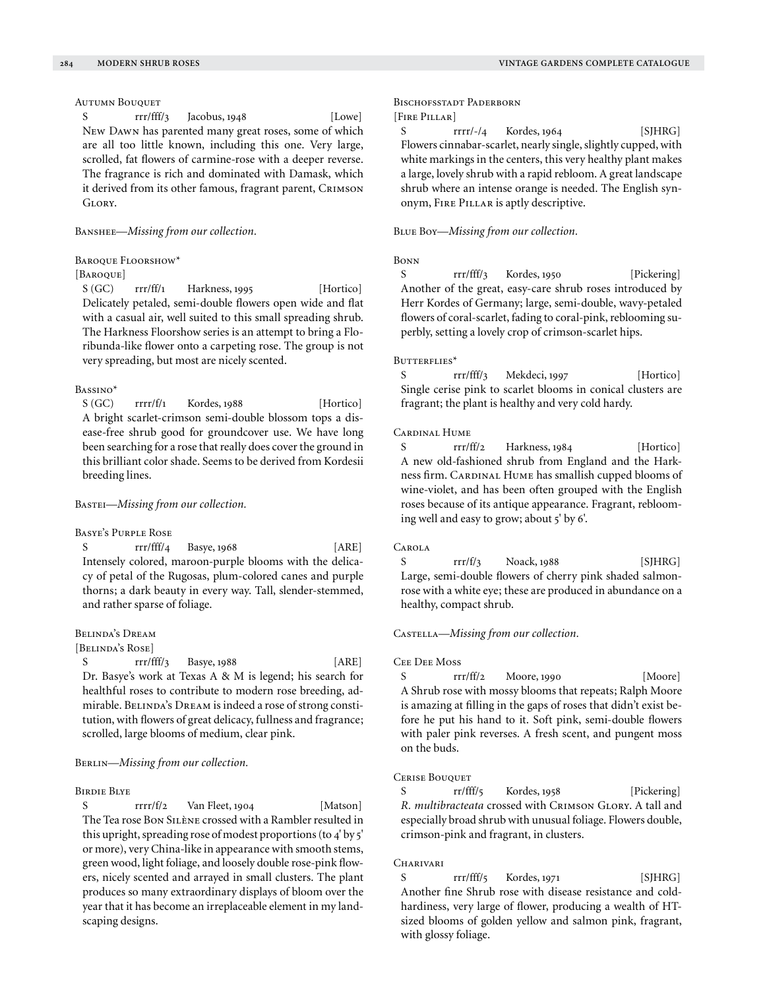# Autumn Bouquet

S rrr/fff/3 Jacobus, 1948 [Lowe] New Dawn has parented many great roses, some of which are all too little known, including this one. Very large, scrolled, fat flowers of carmine-rose with a deeper reverse. The fragrance is rich and dominated with Damask, which it derived from its other famous, fragrant parent, CRIMSON GLORY

Banshee—*Missing from our collection.*

Baroque Floorshow\*

# [BAROQUE]

 $S(GC)$  rrr/ff/1 Harkness, 1995 [Hortico] Delicately petaled, semi-double flowers open wide and flat with a casual air, well suited to this small spreading shrub. The Harkness Floorshow series is an attempt to bring a Floribunda-like flower onto a carpeting rose. The group is not very spreading, but most are nicely scented.

# Bassino\*

 $S(GC)$  rrrr/f/1 Kordes, 1988 [Hortico] A bright scarlet-crimson semi-double blossom tops a disease-free shrub good for groundcover use. We have long been searching for a rose that really does cover the ground in this brilliant color shade. Seems to be derived from Kordesii breeding lines.

## Bastei—*Missing from our collection.*

#### Basye's Purple Rose

S rrr/fff/4 Basye, 1968 [ARE] Intensely colored, maroon-purple blooms with the delicacy of petal of the Rugosas, plum-colored canes and purple thorns; a dark beauty in every way. Tall, slender-stemmed, and rather sparse of foliage.

# Belinda's Dream

# [Belinda's Rose]

S rrr/fff/3 Basye, 1988 [ARE] Dr. Basye's work at Texas A & M is legend; his search for healthful roses to contribute to modern rose breeding, admirable. BELINDA's DREAM is indeed a rose of strong constitution, with flowers of great delicacy, fullness and fragrance; scrolled, large blooms of medium, clear pink.

# BERLIN—*Missing from our collection*.

#### Birdie Blye

S rrrr/f/2 Van Fleet, 1904 [Matson] The Tea rose Bon Silène crossed with a Rambler resulted in this upright, spreading rose of modest proportions (to 4' by 5' or more), very China-like in appearance with smooth stems, green wood, light foliage, and loosely double rose-pink flowers, nicely scented and arrayed in small clusters. The plant produces so many extraordinary displays of bloom over the year that it has become an irreplaceable element in my landscaping designs.

## BISCHOFSSTADT PADERBORN [FIRE PILLAR]

S rrrr/-/4 Kordes, 1964 [SJHRG] Flowers cinnabar-scarlet, nearly single, slightly cupped, with white markings in the centers, this very healthy plant makes a large, lovely shrub with a rapid rebloom. A great landscape shrub where an intense orange is needed. The English synonym, FIRE PILLAR is aptly descriptive.

#### Blue Boy—*Missing from our collection.*

## Bonn

S rrr/fff/3 Kordes, 1950 [Pickering] Another of the great, easy-care shrub roses introduced by Herr Kordes of Germany; large, semi-double, wavy-petaled flowers of coral-scarlet, fading to coral-pink, reblooming superbly, setting a lovely crop of crimson-scarlet hips.

#### BUTTERFLIES\*

S rrr/fff/3 Mekdeci, 1997 [Hortico] Single cerise pink to scarlet blooms in conical clusters are fragrant; the plant is healthy and very cold hardy.

## Cardinal Hume

S rrr/ff/2 Harkness, 1984 [Hortico] A new old-fashioned shrub from England and the Harkness firm. CARDINAL HUME has smallish cupped blooms of wine-violet, and has been often grouped with the English roses because of its antique appearance. Fragrant, reblooming well and easy to grow; about 5' by 6'.

#### Carola

S  $rrr/f/3$  Noack, 1988 [SJHRG] Large, semi-double flowers of cherry pink shaded salmonrose with a white eye; these are produced in abundance on a healthy, compact shrub.

Castella—*Missing from our collection.*

#### Cee Dee Moss

S rrr/ff/2 Moore, 1990 [Moore] A Shrub rose with mossy blooms that repeats; Ralph Moore is amazing at filling in the gaps of roses that didn't exist before he put his hand to it. Soft pink, semi-double flowers with paler pink reverses. A fresh scent, and pungent moss on the buds.

#### CERISE BOUQUET

S rr/fff/5 Kordes, 1958 [Pickering] *R. multibracteata* crossed with Crimson Glory. A tall and especially broad shrub with unusual foliage. Flowers double, crimson-pink and fragrant, in clusters.

#### CHARIVARI

S rrr/fff/5 Kordes, 1971 [SJHRG] Another fine Shrub rose with disease resistance and coldhardiness, very large of flower, producing a wealth of HTsized blooms of golden yellow and salmon pink, fragrant, with glossy foliage.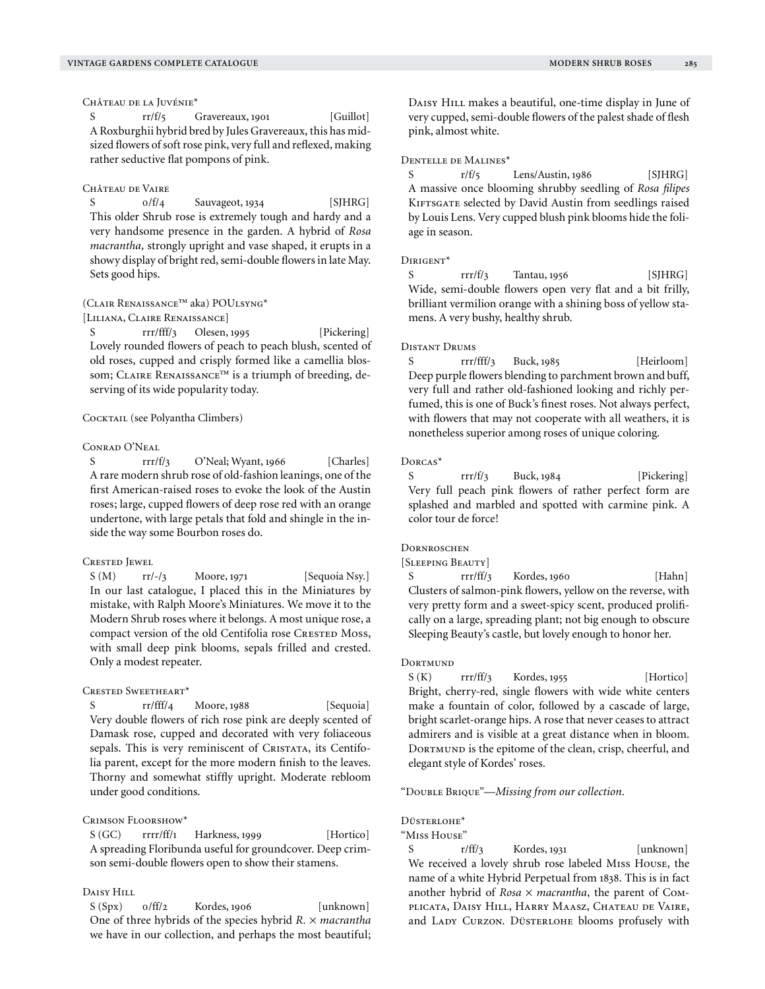Château de la Juvénie\*

 $S \t\t rr/f/5$  Gravereaux, 1901 [Guillot] A Roxburghii hybrid bred by Jules Gravereaux, this has midsized flowers of soft rose pink, very full and reflexed, making rather seductive flat pompons of pink.

## Château de Vaire

S  $0/f/4$  Sauvageot, 1934 [SJHRG] This older Shrub rose is extremely tough and hardy and a very handsome presence in the garden. A hybrid of *Rosa macrantha,* strongly upright and vase shaped, it erupts in a showy display of bright red, semi-double flowers in late May. Sets good hips.

# (Clair Renaissance™ aka) POUlsyng\*

[LILIANA, CLAIRE RENAISSANCE]

S rrr/fff/3 Olesen, 1995 [Pickering] Lovely rounded flowers of peach to peach blush, scented of old roses, cupped and crisply formed like a camellia blossom; CLAIRE RENAISSANCE™ is a triumph of breeding, deserving of its wide popularity today.

## COCKTAIL (see Polyantha Climbers)

#### Conrad O'Neal

S rrr/f/3 O'Neal; Wyant, 1966 [Charles] A rare modern shrub rose of old-fashion leanings, one of the first American-raised roses to evoke the look of the Austin roses; large, cupped flowers of deep rose red with an orange undertone, with large petals that fold and shingle in the inside the way some Bourbon roses do.

# Crested Jewel

S (M) rr/-/3 Moore, 1971 [Sequoia Nsy.] In our last catalogue, I placed this in the Miniatures by mistake, with Ralph Moore's Miniatures. We move it to the Modern Shrub roses where it belongs. A most unique rose, a compact version of the old Centifolia rose CRESTED Moss, with small deep pink blooms, sepals frilled and crested. Only a modest repeater.

## Crested Sweetheart\*

 $rr/fff/4$  Moore, 1988 [Sequoia] Very double flowers of rich rose pink are deeply scented of Damask rose, cupped and decorated with very foliaceous sepals. This is very reminiscent of CRISTATA, its Centifolia parent, except for the more modern finish to the leaves. Thorny and somewhat stiffly upright. Moderate rebloom under good conditions.

#### Crimson Floorshow\*

S (GC) rrrr/ff/1 Harkness, 1999 [Hortico] A spreading Floribunda useful for groundcover. Deep crimson semi-double flowers open to show their stamens.

## Daisy Hill

 $S(Spx)$   $0/ff/2$  Kordes, 1906 [unknown] One of three hybrids of the species hybrid *R.* × *macrantha* we have in our collection, and perhaps the most beautiful; DAISY HILL makes a beautiful, one-time display in June of very cupped, semi-double flowers of the palest shade of flesh pink, almost white.

#### Dentelle de Malines\*

S  $r/f/\frac{5}{5}$  Lens/Austin, 1986 [SJHRG] A massive once blooming shrubby seedling of *Rosa filipes* KIFTSGATE selected by David Austin from seedlings raised by Louis Lens. Very cupped blush pink blooms hide the foliage in season.

## Dirigent\*

rrr/f/3 Tantau, 1956 [SJHRG] Wide, semi-double flowers open very flat and a bit frilly, brilliant vermilion orange with a shining boss of yellow stamens. A very bushy, healthy shrub.

#### Distant Drums

S rrr/fff/3 Buck, 1985 [Heirloom] Deep purple flowers blending to parchment brown and buff, very full and rather old-fashioned looking and richly perfumed, this is one of Buck's finest roses. Not always perfect, with flowers that may not cooperate with all weathers, it is nonetheless superior among roses of unique coloring.

## Dorcas\*

S rrr/f/3 Buck, 1984 [Pickering] Very full peach pink flowers of rather perfect form are splashed and marbled and spotted with carmine pink. A color tour de force!

# **DORNROSCHEN**

#### [SLEEPING BEAUTY]

S rrr/ff/3 Kordes, 1960 [Hahn] Clusters of salmon-pink flowers, yellow on the reverse, with very pretty form and a sweet-spicy scent, produced prolifically on a large, spreading plant; not big enough to obscure Sleeping Beauty's castle, but lovely enough to honor her.

#### DORTMUND

S (K) rrr/ff/3 Kordes, 1955 [Hortico] Bright, cherry-red, single flowers with wide white centers make a fountain of color, followed by a cascade of large, bright scarlet-orange hips. A rose that never ceases to attract admirers and is visible at a great distance when in bloom. DORTMUND is the epitome of the clean, crisp, cheerful, and elegant style of Kordes' roses.

"Double Brique"—*Missing from our collection.*

#### Düsterlohe\*

"Miss House"

S  $r/ff/3$  Kordes, 1931 [unknown] We received a lovely shrub rose labeled Miss House, the name of a white Hybrid Perpetual from 1838. This is in fact another hybrid of *Rosa* × *macrantha*, the parent of Complicata, Daisy Hill, Harry Maasz, Chateau de Vaire, and LADY CURZON. DÜSTERLOHE blooms profusely with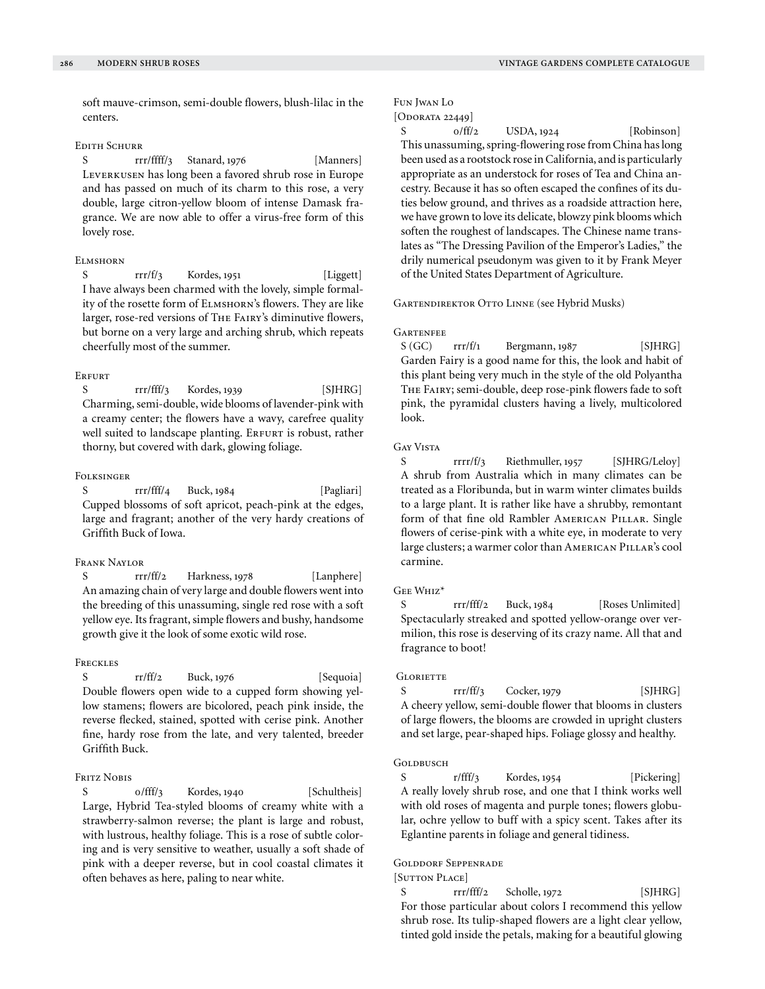soft mauve-crimson, semi-double flowers, blush-lilac in the centers.

## Edith Schurr

S rrr/ffff/3 Stanard, 1976 [Manners] Leverkusen has long been a favored shrub rose in Europe and has passed on much of its charm to this rose, a very double, large citron-yellow bloom of intense Damask fragrance. We are now able to offer a virus-free form of this lovely rose.

# **ELMSHORN**

S  $rrr/f/3$  Kordes, 1951 [Liggett] I have always been charmed with the lovely, simple formality of the rosette form of Elmshorn's flowers. They are like larger, rose-red versions of The Fairy's diminutive flowers, but borne on a very large and arching shrub, which repeats cheerfully most of the summer.

## **ERFURT**

 $S$  rrr/fff/3 Kordes, 1939 [SJHRG] Charming, semi-double, wide blooms of lavender-pink with a creamy center; the flowers have a wavy, carefree quality well suited to landscape planting. ERFURT is robust, rather thorny, but covered with dark, glowing foliage.

## **FOLKSINGER**

S rrr/fff/4 Buck, 1984 [Pagliari] Cupped blossoms of soft apricot, peach-pink at the edges, large and fragrant; another of the very hardy creations of Griffith Buck of Iowa.

# Frank Naylor

S rrr/ff/2 Harkness, 1978 [Lanphere] An amazing chain of very large and double flowers went into the breeding of this unassuming, single red rose with a soft yellow eye. Its fragrant, simple flowers and bushy, handsome growth give it the look of some exotic wild rose.

#### **FRECKLES**

S rr/ff/2 Buck, 1976 [Sequoia] Double flowers open wide to a cupped form showing yellow stamens; flowers are bicolored, peach pink inside, the reverse flecked, stained, spotted with cerise pink. Another fine, hardy rose from the late, and very talented, breeder Griffith Buck.

## FRITZ NOBIS

S  $0/fft/3$  Kordes, 1940 [Schultheis] Large, Hybrid Tea-styled blooms of creamy white with a strawberry-salmon reverse; the plant is large and robust, with lustrous, healthy foliage. This is a rose of subtle coloring and is very sensitive to weather, usually a soft shade of pink with a deeper reverse, but in cool coastal climates it often behaves as here, paling to near white.

# Fun Jwan Lo

```
[Oporatab 22449]
```
o/ff/2 USDA, 1924 [Robinson] This unassuming, spring-flowering rose from China has long been used as a rootstock rose in California, and is particularly appropriate as an understock for roses of Tea and China ancestry. Because it has so often escaped the confines of its duties below ground, and thrives as a roadside attraction here, we have grown to love its delicate, blowzy pink blooms which soften the roughest of landscapes. The Chinese name translates as "The Dressing Pavilion of the Emperor's Ladies," the drily numerical pseudonym was given to it by Frank Meyer of the United States Department of Agriculture.

## Gartendirektor Otto Linne (see Hybrid Musks)

## GARTENEEE

 $S(GC)$  rrr/f/1 Bergmann, 1987 [SJHRG] Garden Fairy is a good name for this, the look and habit of this plant being very much in the style of the old Polyantha The Fairy; semi-double, deep rose-pink flowers fade to soft pink, the pyramidal clusters having a lively, multicolored look.

# Gay Vista

S rrrr/f/3 Riethmuller, 1957 [SJHRG/Leloy] A shrub from Australia which in many climates can be treated as a Floribunda, but in warm winter climates builds to a large plant. It is rather like have a shrubby, remontant form of that fine old Rambler AMERICAN PILLAR. Single flowers of cerise-pink with a white eye, in moderate to very large clusters; a warmer color than AMERICAN PILLAR's cool carmine.

# Gee Whiz\*

S rrr/fff/2 Buck, 1984 [Roses Unlimited] Spectacularly streaked and spotted yellow-orange over vermilion, this rose is deserving of its crazy name. All that and fragrance to boot!

#### **GLORIETTE**

S rrr/ff/3 Cocker, 1979 [SJHRG] A cheery yellow, semi-double flower that blooms in clusters of large flowers, the blooms are crowded in upright clusters and set large, pear-shaped hips. Foliage glossy and healthy.

# GOLDBUSCH

S r/fff/3 Kordes, 1954 [Pickering] A really lovely shrub rose, and one that I think works well with old roses of magenta and purple tones; flowers globular, ochre yellow to buff with a spicy scent. Takes after its Eglantine parents in foliage and general tidiness.

## Golddorf Seppenrade

[Sutton Place]

S rrr/fff/2 Scholle, 1972 [SJHRG] For those particular about colors I recommend this yellow shrub rose. Its tulip-shaped flowers are a light clear yellow, tinted gold inside the petals, making for a beautiful glowing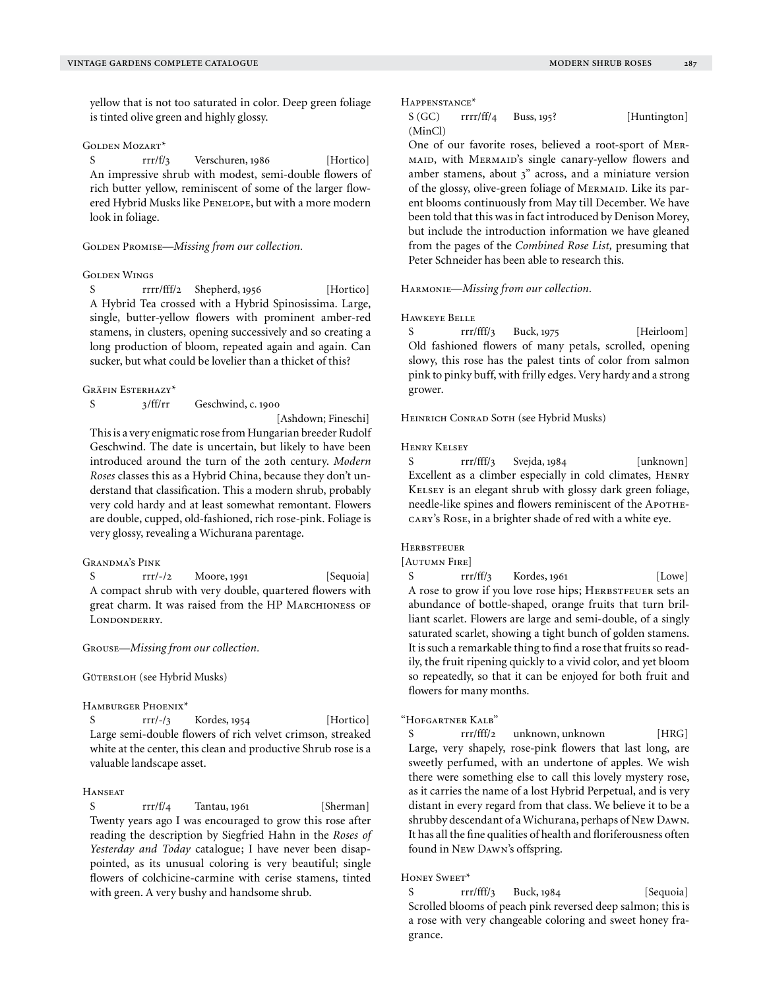yellow that is not too saturated in color. Deep green foliage is tinted olive green and highly glossy.

## Golden Mozart\*

S rrr/f/3 Verschuren, 1986 [Hortico] An impressive shrub with modest, semi-double flowers of rich butter yellow, reminiscent of some of the larger flowered Hybrid Musks like Penelope, but with a more modern look in foliage.

#### GOLDEN PROMISE—*Missing from our collection*.

# Golden Wings

rrrr/fff/2 Shepherd, 1956 [Hortico] A Hybrid Tea crossed with a Hybrid Spinosissima. Large, single, butter-yellow flowers with prominent amber-red stamens, in clusters, opening successively and so creating a long production of bloom, repeated again and again. Can sucker, but what could be lovelier than a thicket of this?

# Gräfin Esterhazy\*

S 3/ff/rr Geschwind, c. 1900

[Ashdown; Fineschi]

This is a very enigmatic rose from Hungarian breeder Rudolf Geschwind. The date is uncertain, but likely to have been introduced around the turn of the 20th century. *Modern Roses* classes this as a Hybrid China, because they don't understand that classification. This a modern shrub, probably very cold hardy and at least somewhat remontant. Flowers are double, cupped, old-fashioned, rich rose-pink. Foliage is very glossy, revealing a Wichurana parentage.

# Grandma's Pink

S rrr/-/2 Moore, 1991 [Sequoia] A compact shrub with very double, quartered flowers with great charm. It was raised from the HP MARCHIONESS OF LONDONDERRY.

## Grouse—*Missing from our collection.*

GÜTERSLOH (see Hybrid Musks)

## Hamburger Phoenix\*

S rrr/-/3 Kordes, 1954 [Hortico] Large semi-double flowers of rich velvet crimson, streaked white at the center, this clean and productive Shrub rose is a valuable landscape asset.

#### **HANSEAT**

S rrr/f/4 Tantau, 1961 [Sherman] Twenty years ago I was encouraged to grow this rose after reading the description by Siegfried Hahn in the *Roses of Yesterday and Today* catalogue; I have never been disappointed, as its unusual coloring is very beautiful; single flowers of colchicine-carmine with cerise stamens, tinted with green. A very bushy and handsome shrub.

#### Happenstance\*

# $S(GC)$  rrrr/ff/4 Buss, 195? [Huntington] (MinCl)

One of our favorite roses, believed a root-sport of Mermaid, with Mermaid's single canary-yellow flowers and amber stamens, about 3" across, and a miniature version of the glossy, olive-green foliage of MERMAID. Like its parent blooms continuously from May till December. We have been told that this was in fact introduced by Denison Morey, but include the introduction information we have gleaned from the pages of the *Combined Rose List,* presuming that Peter Schneider has been able to research this.

#### Harmonie—*Missing from our collection.*

## Hawkeye Belle

S rrr/fff/3 Buck, 1975 [Heirloom] Old fashioned flowers of many petals, scrolled, opening slowy, this rose has the palest tints of color from salmon pink to pinky buff, with frilly edges. Very hardy and a strong grower.

Heinrich Conrad Soth (see Hybrid Musks)

#### Henry Kelsey

S rrr/fff/3 Svejda, 1984 [unknown] Excellent as a climber especially in cold climates, Henry Kelsey is an elegant shrub with glossy dark green foliage, needle-like spines and flowers reminiscent of the APOTHEcary's Rose, in a brighter shade of red with a white eye.

#### **HERBSTFEUER**

[Autumn Fire]

S  $rrr/ff/3$  Kordes, 1961 [Lowe] A rose to grow if you love rose hips; HERBSTFEUER sets an abundance of bottle-shaped, orange fruits that turn brilliant scarlet. Flowers are large and semi-double, of a singly saturated scarlet, showing a tight bunch of golden stamens. It is such a remarkable thing to find a rose that fruits so readily, the fruit ripening quickly to a vivid color, and yet bloom so repeatedly, so that it can be enjoyed for both fruit and flowers for many months.

#### "Hofgartner Kalb"

S rrr/fff/2 unknown, unknown [HRG] Large, very shapely, rose-pink flowers that last long, are sweetly perfumed, with an undertone of apples. We wish there were something else to call this lovely mystery rose, as it carries the name of a lost Hybrid Perpetual, and is very distant in every regard from that class. We believe it to be a shrubby descendant of a Wichurana, perhaps of New Dawn. It has all the fine qualities of health and floriferousness often found in New Dawn's offspring.

# HONEY SWEET\*

S rrr/fff/3 Buck, 1984 [Sequoia] Scrolled blooms of peach pink reversed deep salmon; this is a rose with very changeable coloring and sweet honey fragrance.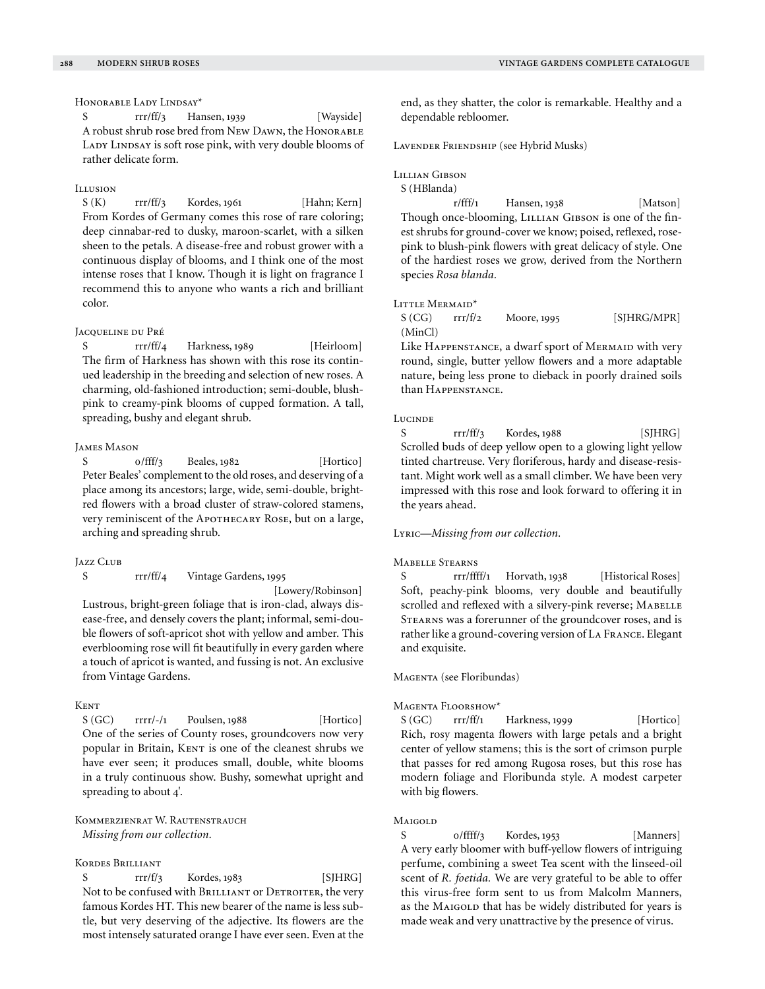Honorable Lady Lindsay\*

S rrr/ff/3 Hansen, 1939 [Wayside] A robust shrub rose bred from New DAWN, the HONORABLE LADY LINDSAY is soft rose pink, with very double blooms of rather delicate form.

## Illusion

 $S(K)$  rrr/ff/3 Kordes, 1961 [Hahn; Kern] From Kordes of Germany comes this rose of rare coloring; deep cinnabar-red to dusky, maroon-scarlet, with a silken sheen to the petals. A disease-free and robust grower with a continuous display of blooms, and I think one of the most intense roses that I know. Though it is light on fragrance I recommend this to anyone who wants a rich and brilliant color.

## Jacqueline du Pré

rrr/ff/4 Harkness, 1989 [Heirloom] The firm of Harkness has shown with this rose its continued leadership in the breeding and selection of new roses. A charming, old-fashioned introduction; semi-double, blushpink to creamy-pink blooms of cupped formation. A tall, spreading, bushy and elegant shrub.

## James Mason

 $o/fff/3$  Beales,  $1982$  [Hortico] Peter Beales' complement to the old roses, and deserving of a place among its ancestors; large, wide, semi-double, brightred flowers with a broad cluster of straw-colored stamens, very reminiscent of the APOTHECARY ROSE, but on a large, arching and spreading shrub.

## Jazz Club

#### S rrr/ff/4 Vintage Gardens, 1995

[Lowery/Robinson]

Lustrous, bright-green foliage that is iron-clad, always disease-free, and densely covers the plant; informal, semi-double flowers of soft-apricot shot with yellow and amber. This everblooming rose will fit beautifully in every garden where a touch of apricot is wanted, and fussing is not. An exclusive from Vintage Gardens.

# **KENT**

 $S(GC)$  rrrr/-/1 Poulsen, 1988 [Hortico] One of the series of County roses, groundcovers now very popular in Britain, KENT is one of the cleanest shrubs we have ever seen; it produces small, double, white blooms in a truly continuous show. Bushy, somewhat upright and spreading to about 4'.

KOMMERZIENRAT W. RAUTENSTRAUCH *Missing from our collection.*

## Kordes Brilliant

S  $rrr/f/3$  Kordes, 1983 [SJHRG] Not to be confused with BRILLIANT or DETROITER, the very famous Kordes HT. This new bearer of the name is less subtle, but very deserving of the adjective. Its flowers are the most intensely saturated orange I have ever seen. Even at the

end, as they shatter, the color is remarkable. Healthy and a dependable rebloomer.

Lavender Friendship (see Hybrid Musks)

LILLIAN GIBSON

S (HBlanda)

r/fff/1 Hansen, 1938 [Matson] Though once-blooming, LILLIAN GIBSON is one of the finest shrubs for ground-cover we know; poised, reflexed, rosepink to blush-pink flowers with great delicacy of style. One of the hardiest roses we grow, derived from the Northern species *Rosa blanda.*

# LITTLE MERMAID<sup>\*</sup>

 $S (CG)$  rrr/f/2 Moore, 1995 [SJHRG/MPR] (MinCl)

Like HAPPENSTANCE, a dwarf sport of MERMAID with very round, single, butter yellow flowers and a more adaptable nature, being less prone to dieback in poorly drained soils than Happenstance.

#### **Lucinde**

 $S$  rrr/ff/3 Kordes, 1988 [SJHRG] Scrolled buds of deep yellow open to a glowing light yellow tinted chartreuse. Very floriferous, hardy and disease-resistant. Might work well as a small climber. We have been very impressed with this rose and look forward to offering it in the years ahead.

# Lyric—*Missing from our collection.*

#### Mabelle Stearns

S rrr/ffff/1 Horvath, 1938 [Historical Roses] Soft, peachy-pink blooms, very double and beautifully scrolled and reflexed with a silvery-pink reverse; MABELLE Stearns was a forerunner of the groundcover roses, and is rather like a ground-covering version of La France. Elegant and exquisite.

## Magenta (see Floribundas)

#### Magenta Floorshow\*

 $S(GC)$  rrr/ff/1 Harkness, 1999 [Hortico] Rich, rosy magenta flowers with large petals and a bright center of yellow stamens; this is the sort of crimson purple that passes for red among Rugosa roses, but this rose has modern foliage and Floribunda style. A modest carpeter with big flowers.

#### Maigold

S 0/ffff/3 Kordes, 1953 [Manners] A very early bloomer with buff-yellow flowers of intriguing perfume, combining a sweet Tea scent with the linseed-oil scent of *R. foetida.* We are very grateful to be able to offer this virus-free form sent to us from Malcolm Manners, as the MAIGOLD that has be widely distributed for years is made weak and very unattractive by the presence of virus.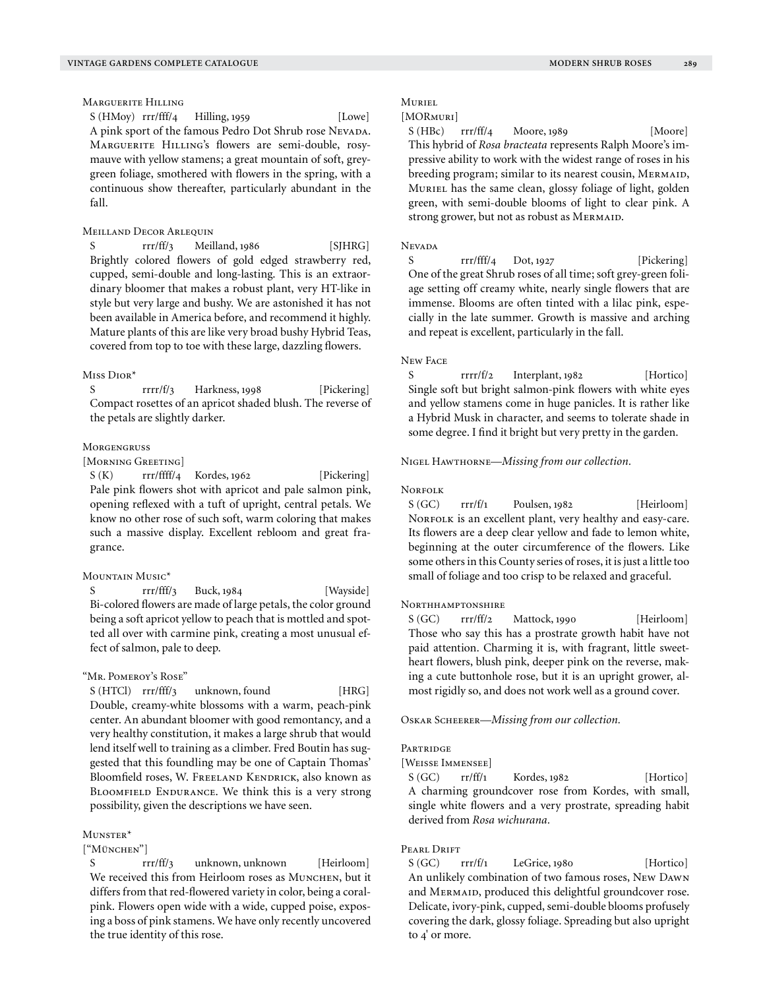# Marguerite Hilling

S (HMoy) rrr/fff/4 Hilling, 1959 [Lowe] A pink sport of the famous Pedro Dot Shrub rose Nevada. Marguerite Hilling's flowers are semi-double, rosymauve with yellow stamens; a great mountain of soft, greygreen foliage, smothered with flowers in the spring, with a continuous show thereafter, particularly abundant in the fall.

## MEILLAND DECOR ARLEQUIN

S rrr/ff/3 Meilland, 1986 [SJHRG] Brightly colored flowers of gold edged strawberry red, cupped, semi-double and long-lasting. This is an extraordinary bloomer that makes a robust plant, very HT-like in style but very large and bushy. We are astonished it has not been available in America before, and recommend it highly. Mature plants of this are like very broad bushy Hybrid Teas, covered from top to toe with these large, dazzling flowers.

#### Miss Dior\*

S rrrr/f/3 Harkness, 1998 [Pickering] Compact rosettes of an apricot shaded blush. The reverse of the petals are slightly darker.

#### **MORGENGRUSS**

# [Morning Greeting]

S (K) rrr/ffff/4 Kordes, 1962 [Pickering] Pale pink flowers shot with apricot and pale salmon pink, opening reflexed with a tuft of upright, central petals. We know no other rose of such soft, warm coloring that makes such a massive display. Excellent rebloom and great fragrance.

#### Mountain Music\*

S rrr/fff/3 Buck, 1984 [Wayside] Bi-colored flowers are made of large petals, the color ground being a soft apricot yellow to peach that is mottled and spotted all over with carmine pink, creating a most unusual effect of salmon, pale to deep.

#### "Mr. Pomeroy's Rose"

S (HTCl) rrr/fff/3 unknown, found [HRG] Double, creamy-white blossoms with a warm, peach-pink center. An abundant bloomer with good remontancy, and a very healthy constitution, it makes a large shrub that would lend itself well to training as a climber. Fred Boutin has suggested that this foundling may be one of Captain Thomas' Bloomfield roses, W. FREELAND KENDRICK, also known as BLOOMFIELD ENDURANCE. We think this is a very strong possibility, given the descriptions we have seen.

## Munster\*

## ["München"]

S rrr/ff/3 unknown, unknown [Heirloom] We received this from Heirloom roses as MUNCHEN, but it differs from that red-flowered variety in color, being a coralpink. Flowers open wide with a wide, cupped poise, exposing a boss of pink stamens. We have only recently uncovered the true identity of this rose.

# Muriel

# [MORMURI]

S (HBc) rrr/ff/4 Moore, 1989 [Moore] This hybrid of *Rosa bracteata* represents Ralph Moore's impressive ability to work with the widest range of roses in his breeding program; similar to its nearest cousin, MERMAID, Muriel has the same clean, glossy foliage of light, golden green, with semi-double blooms of light to clear pink. A strong grower, but not as robust as MERMAID.

## **Nevada**

S rrr/fff/4 Dot, 1927 [Pickering] One of the great Shrub roses of all time; soft grey-green foliage setting off creamy white, nearly single flowers that are immense. Blooms are often tinted with a lilac pink, especially in the late summer. Growth is massive and arching and repeat is excellent, particularly in the fall.

#### New Face

S rrrr/f/2 Interplant, 1982 [Hortico] Single soft but bright salmon-pink flowers with white eyes and yellow stamens come in huge panicles. It is rather like a Hybrid Musk in character, and seems to tolerate shade in some degree. I find it bright but very pretty in the garden.

Nigel Hawthorne—*Missing from our collection.*

#### NORFOLK

 $S(GC)$  rrr/f/1 Poulsen, 1982 [Heirloom] NORFOLK is an excellent plant, very healthy and easy-care. Its flowers are a deep clear yellow and fade to lemon white, beginning at the outer circumference of the flowers. Like some others in this County series of roses, it is just a little too small of foliage and too crisp to be relaxed and graceful.

# NORTHHAMPTONSHIRE

S (GC) rrr/ff/2 Mattock, 1990 [Heirloom] Those who say this has a prostrate growth habit have not paid attention. Charming it is, with fragrant, little sweetheart flowers, blush pink, deeper pink on the reverse, making a cute buttonhole rose, but it is an upright grower, almost rigidly so, and does not work well as a ground cover.

Oskar Scheerer—*Missing from our collection.*

#### **PARTRIDGE**

[Weisse Immensee]

S (GC) rr/ff/1 Kordes, 1982 [Hortico] A charming groundcover rose from Kordes, with small, single white flowers and a very prostrate, spreading habit derived from *Rosa wichurana.*

# PEARL DRIFT

S (GC) rrr/f/1 LeGrice, 1980 [Hortico] An unlikely combination of two famous roses, New Dawn and MERMAID, produced this delightful groundcover rose. Delicate, ivory-pink, cupped, semi-double blooms profusely covering the dark, glossy foliage. Spreading but also upright to 4' or more.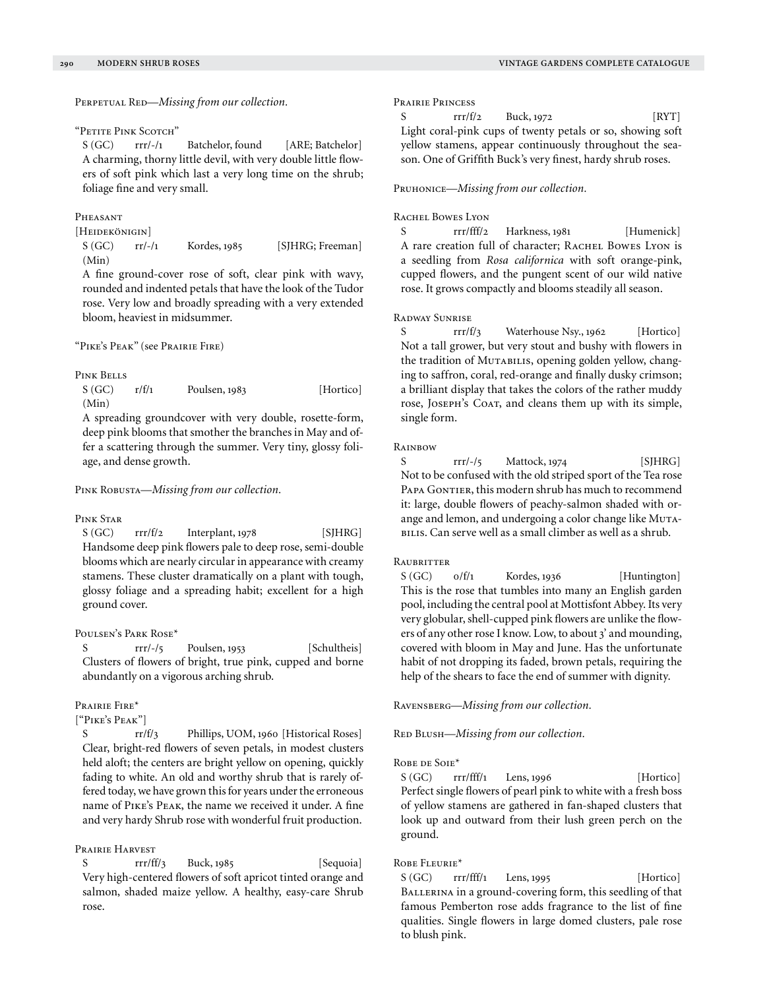PERPETUAL RED—*Missing from our collection*.

#### "Petite Pink Scotch"

S (GC) rrr/-/1 Batchelor, found [ARE; Batchelor] A charming, thorny little devil, with very double little flowers of soft pink which last a very long time on the shrub; foliage fine and very small.

## Pheasant

[Heidekönigin]

S (GC) rr/-/1 Kordes, 1985 [SJHRG; Freeman] (Min)

A fine ground-cover rose of soft, clear pink with wavy, rounded and indented petals that have the look of the Tudor rose. Very low and broadly spreading with a very extended bloom, heaviest in midsummer.

"Pike's Peak" (see Prairie Fire)

#### PINK BELLS

S (GC) r/f/1 Poulsen, 1983 [Hortico] (Min)

A spreading groundcover with very double, rosette-form, deep pink blooms that smother the branches in May and offer a scattering through the summer. Very tiny, glossy foliage, and dense growth.

Pink Robusta—*Missing from our collection.*

## Pink Star

S (GC) rrr/f/2 Interplant, 1978 [SJHRG] Handsome deep pink flowers pale to deep rose, semi-double blooms which are nearly circular in appearance with creamy stamens. These cluster dramatically on a plant with tough, glossy foliage and a spreading habit; excellent for a high ground cover.

## Poulsen's Park Rose\*

S rrr/-/5 Poulsen, 1953 [Schultheis] Clusters of flowers of bright, true pink, cupped and borne abundantly on a vigorous arching shrub.

#### Prairie Fire\*

["Pike's Peak"]

S rr/f/3 Phillips, UOM, 1960 [Historical Roses] Clear, bright-red flowers of seven petals, in modest clusters held aloft; the centers are bright yellow on opening, quickly fading to white. An old and worthy shrub that is rarely offered today, we have grown this for years under the erroneous name of Pike's Peak, the name we received it under. A fine and very hardy Shrub rose with wonderful fruit production.

# Prairie Harvest

 $rrr/ff/3$  Buck, 1985 [Sequoia] Very high-centered flowers of soft apricot tinted orange and salmon, shaded maize yellow. A healthy, easy-care Shrub rose.

## Prairie Princess

| S | rrr/f/2 | Buck, 1972 | [RYT]                                                      |
|---|---------|------------|------------------------------------------------------------|
|   |         |            | Light coral-pink cups of twenty petals or so, showing soft |
|   |         |            | yellow stamens, appear continuously throughout the sea-    |

son. One of Griffith Buck's very finest, hardy shrub roses.

## Pruhonice—*Missing from our collection.*

#### RACHEL BOWES LYON

S rrr/fff/2 Harkness, 1981 [Humenick] A rare creation full of character; RACHEL BOWES LYON is a seedling from *Rosa californica* with soft orange-pink, cupped flowers, and the pungent scent of our wild native rose. It grows compactly and blooms steadily all season.

## Radway Sunrise

S rrr/f/3 Waterhouse Nsy., 1962 [Hortico] Not a tall grower, but very stout and bushy with flowers in the tradition of MUTABILIS, opening golden yellow, changing to saffron, coral, red-orange and finally dusky crimson; a brilliant display that takes the colors of the rather muddy rose, JOSEPH's COAT, and cleans them up with its simple, single form.

## **RAINBOW**

S rrr/-/5 Mattock, 1974 [SJHRG] Not to be confused with the old striped sport of the Tea rose PAPA GONTIER, this modern shrub has much to recommend it: large, double flowers of peachy-salmon shaded with orange and lemon, and undergoing a color change like Muta-BILIS. Can serve well as a small climber as well as a shrub.

# **RAUBRITTER**

S (GC)  $o/f/1$  Kordes, 1936 [Huntington] This is the rose that tumbles into many an English garden pool, including the central pool at Mottisfont Abbey. Its very very globular, shell-cupped pink flowers are unlike the flowers of any other rose I know. Low, to about 3' and mounding, covered with bloom in May and June. Has the unfortunate habit of not dropping its faded, brown petals, requiring the help of the shears to face the end of summer with dignity.

Ravensberg—*Missing from our collection.*

RED BLUSH—*Missing from our collection*.

## ROBE DE SOIE\*

S (GC) rrr/fff/1 Lens, 1996 [Hortico] Perfect single flowers of pearl pink to white with a fresh boss of yellow stamens are gathered in fan-shaped clusters that look up and outward from their lush green perch on the ground.

## ROBE FLEURIE\*

 $S(GC)$  rrr/fff/1 Lens, 1995 [Hortico] BALLERINA in a ground-covering form, this seedling of that famous Pemberton rose adds fragrance to the list of fine qualities. Single flowers in large domed clusters, pale rose to blush pink.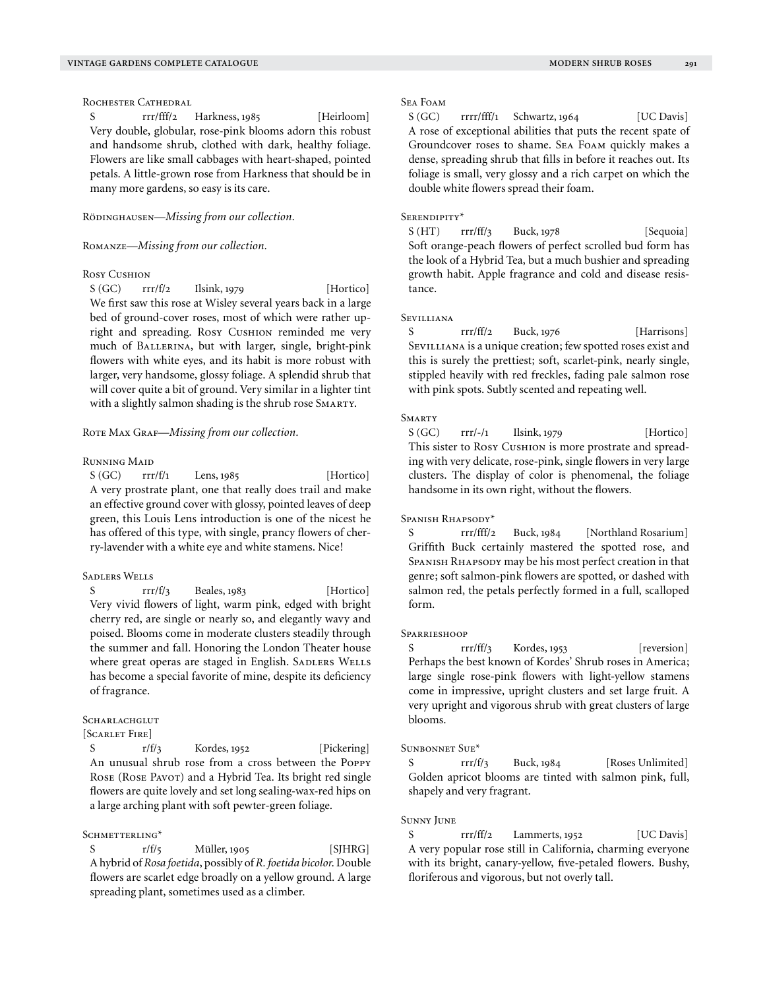# ROCHESTER CATHEDRAL

S rrr/fff/2 Harkness, 1985 [Heirloom] Very double, globular, rose-pink blooms adorn this robust and handsome shrub, clothed with dark, healthy foliage. Flowers are like small cabbages with heart-shaped, pointed petals. A little-grown rose from Harkness that should be in many more gardens, so easy is its care.

RÖDINGHAUSEN—*Missing from our collection*.

# Romanze—*Missing from our collection.*

## Rosy Cushion

 $S(GC)$  rrr/f/2 Ilsink, 1979 [Hortico] We first saw this rose at Wisley several years back in a large bed of ground-cover roses, most of which were rather upright and spreading. Rosy Cushion reminded me very much of Ballerina, but with larger, single, bright-pink flowers with white eyes, and its habit is more robust with larger, very handsome, glossy foliage. A splendid shrub that will cover quite a bit of ground. Very similar in a lighter tint with a slightly salmon shading is the shrub rose SMARTY.

# ROTE MAX GRAF-Missing from our collection.

## Running Maid

 $S(GC)$  rrr/f/1 Lens, 1985 [Hortico] A very prostrate plant, one that really does trail and make an effective ground cover with glossy, pointed leaves of deep green, this Louis Lens introduction is one of the nicest he has offered of this type, with single, prancy flowers of cherry-lavender with a white eye and white stamens. Nice!

## Sadlers Wells

S rrr/f/3 Beales, 1983 [Hortico] Very vivid flowers of light, warm pink, edged with bright cherry red, are single or nearly so, and elegantly wavy and poised. Blooms come in moderate clusters steadily through the summer and fall. Honoring the London Theater house where great operas are staged in English. SADLERS WELLS has become a special favorite of mine, despite its deficiency of fragrance.

# **SCHARLACHGLUT**

[Scarlet Fire]

S  $r/f_3$  Kordes, 1952 [Pickering] An unusual shrub rose from a cross between the Poppy ROSE (ROSE PAVOT) and a Hybrid Tea. Its bright red single flowers are quite lovely and set long sealing-wax-red hips on a large arching plant with soft pewter-green foliage.

#### SCHMETTERLING\*

S  $r/f/5$  Müller, 1905 [SJHRG] A hybrid of *Rosa foetida*, possibly of *R. foetida bicolor*. Double flowers are scarlet edge broadly on a yellow ground. A large spreading plant, sometimes used as a climber.

# Sea Foam

 $S(GC)$  rrrr/fff/1 Schwartz, 1964 [UC Davis] A rose of exceptional abilities that puts the recent spate of Groundcover roses to shame. Sea Foam quickly makes a dense, spreading shrub that fills in before it reaches out. Its foliage is small, very glossy and a rich carpet on which the double white flowers spread their foam.

#### Serendipity\*

 $S (HT)$  rrr/ff/3 Buck, 1978 [Sequoia] Soft orange-peach flowers of perfect scrolled bud form has the look of a Hybrid Tea, but a much bushier and spreading growth habit. Apple fragrance and cold and disease resistance.

## Sevilliana

S rrr/ff/2 Buck, 1976 [Harrisons] SEVILLIANA is a unique creation; few spotted roses exist and this is surely the prettiest; soft, scarlet-pink, nearly single, stippled heavily with red freckles, fading pale salmon rose with pink spots. Subtly scented and repeating well.

## **SMARTY**

 $S(GC)$  rrr/-/1 Ilsink, 1979 [Hortico] This sister to Rosy Cushion is more prostrate and spreading with very delicate, rose-pink, single flowers in very large clusters. The display of color is phenomenal, the foliage handsome in its own right, without the flowers.

# Spanish Rhapsody\*

S rrr/fff/2 Buck, 1984 [Northland Rosarium] Griffith Buck certainly mastered the spotted rose, and SPANISH RHAPSODY may be his most perfect creation in that genre; soft salmon-pink flowers are spotted, or dashed with salmon red, the petals perfectly formed in a full, scalloped form.

#### **SPARRIESHOOP**

S rrr/ff/3 Kordes, 1953 [reversion] Perhaps the best known of Kordes' Shrub roses in America; large single rose-pink flowers with light-yellow stamens come in impressive, upright clusters and set large fruit. A very upright and vigorous shrub with great clusters of large blooms.

## Sunbonnet Sue\*

S rrr/f/3 Buck, 1984 [Roses Unlimited] Golden apricot blooms are tinted with salmon pink, full, shapely and very fragrant.

#### Sunny June

S rrr/ff/2 Lammerts, 1952 [UC Davis] A very popular rose still in California, charming everyone with its bright, canary-yellow, five-petaled flowers. Bushy, floriferous and vigorous, but not overly tall.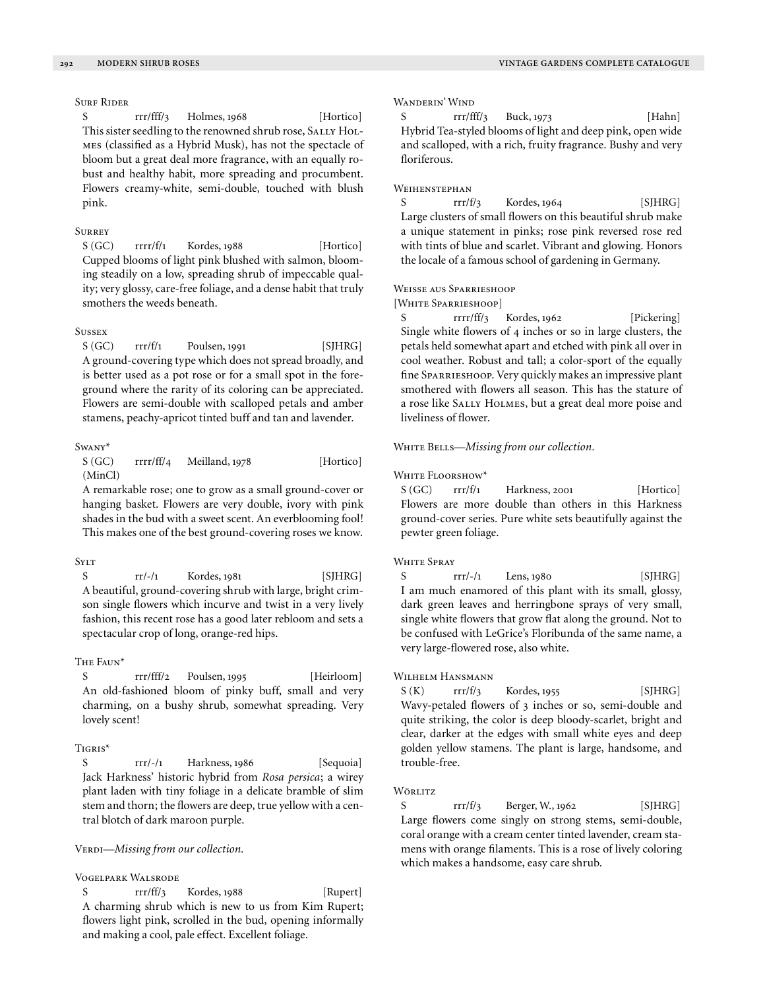# Surf Rider

S rrr/fff/3 Holmes, 1968 [Hortico] This sister seedling to the renowned shrub rose, SALLY HOLmes (classified as a Hybrid Musk), has not the spectacle of bloom but a great deal more fragrance, with an equally robust and healthy habit, more spreading and procumbent. Flowers creamy-white, semi-double, touched with blush pink.

# **SURREY**

 $S(GC)$  rrrr/f/1 Kordes, 1988 [Hortico] Cupped blooms of light pink blushed with salmon, blooming steadily on a low, spreading shrub of impeccable quality; very glossy, care-free foliage, and a dense habit that truly smothers the weeds beneath.

## **STICCEY**

 $S(GC)$  rrr/f/1 Poulsen, 1991 [SJHRG] A ground-covering type which does not spread broadly, and is better used as a pot rose or for a small spot in the foreground where the rarity of its coloring can be appreciated. Flowers are semi-double with scalloped petals and amber stamens, peachy-apricot tinted buff and tan and lavender.

## Swany\*

S (GC) rrrr/ff/4 Meilland, 1978 [Hortico] (MinCl)

A remarkable rose; one to grow as a small ground-cover or hanging basket. Flowers are very double, ivory with pink shades in the bud with a sweet scent. An everblooming fool! This makes one of the best ground-covering roses we know.

# **SYLT**

S rr/-/1 Kordes, 1981 [SJHRG] A beautiful, ground-covering shrub with large, bright crimson single flowers which incurve and twist in a very lively fashion, this recent rose has a good later rebloom and sets a spectacular crop of long, orange-red hips.

#### The Faun\*

S rrr/fff/2 Poulsen, 1995 [Heirloom] An old-fashioned bloom of pinky buff, small and very charming, on a bushy shrub, somewhat spreading. Very lovely scent!

## TIGRIS\*

S rrr/-/1 Harkness, 1986 [Sequoia] Jack Harkness' historic hybrid from *Rosa persica*; a wirey plant laden with tiny foliage in a delicate bramble of slim stem and thorn; the flowers are deep, true yellow with a central blotch of dark maroon purple.

## VERDI-Missing from our collection.

# Vogelpark Walsrode

S rrr/ff/3 Kordes, 1988 [Rupert] A charming shrub which is new to us from Kim Rupert; flowers light pink, scrolled in the bud, opening informally and making a cool, pale effect. Excellent foliage.

## Wanderin' Wind

S  $rrr/fft/3$  Buck, 1973 [Hahn] Hybrid Tea-styled blooms of light and deep pink, open wide and scalloped, with a rich, fruity fragrance. Bushy and very floriferous.

# WEIHENSTEPHAN

 $S$  rrr/f/3 Kordes, 1964 [SJHRG] Large clusters of small flowers on this beautiful shrub make a unique statement in pinks; rose pink reversed rose red with tints of blue and scarlet. Vibrant and glowing. Honors the locale of a famous school of gardening in Germany.

#### Weisse aus Sparrieshoop

[White Sparrieshoop]

S rrrr/ff/3 Kordes, 1962 [Pickering] Single white flowers of 4 inches or so in large clusters, the petals held somewhat apart and etched with pink all over in cool weather. Robust and tall; a color-sport of the equally fine Sparrieshoop. Very quickly makes an impressive plant smothered with flowers all season. This has the stature of a rose like SALLY HOLMES, but a great deal more poise and liveliness of flower.

## WHITE BELLS-Missing from our collection.

## WHITE FLOORSHOW\*

 $S(GC)$  rrr/f/1 Harkness, 2001 [Hortico] Flowers are more double than others in this Harkness ground-cover series. Pure white sets beautifully against the pewter green foliage.

#### WHITE SPRAY

 $S$  rrr/-/1 Lens, 1980 [SJHRG] I am much enamored of this plant with its small, glossy, dark green leaves and herringbone sprays of very small, single white flowers that grow flat along the ground. Not to be confused with LeGrice's Floribunda of the same name, a very large-flowered rose, also white.

## WILHELM HANSMANN

 $S (K)$  rrr/f/3 Kordes, 1955 [SJHRG] Wavy-petaled flowers of 3 inches or so, semi-double and quite striking, the color is deep bloody-scarlet, bright and clear, darker at the edges with small white eyes and deep golden yellow stamens. The plant is large, handsome, and trouble-free.

# **W**ÖRLITZ

S  $rrr/f/3$  Berger, W., 1962 [SJHRG] Large flowers come singly on strong stems, semi-double, coral orange with a cream center tinted lavender, cream stamens with orange filaments. This is a rose of lively coloring which makes a handsome, easy care shrub.